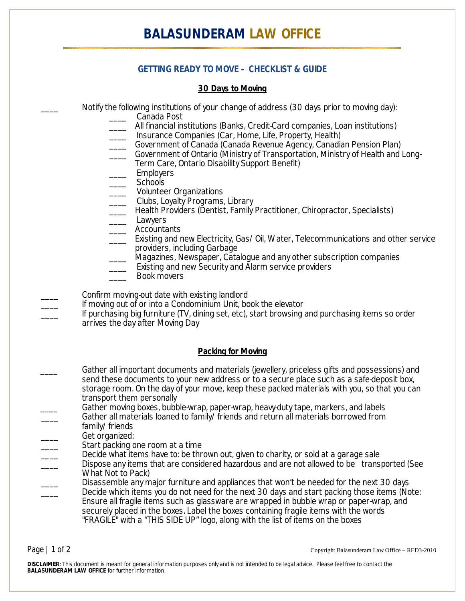## **GETTING READY TO MOVE – CHECKLIST & GUIDE**

### **30 Days to Moving**

Notify the following institutions of your change of address (30 days prior to moving day):

- \_\_\_\_ Canada Post
- All financial institutions (Banks, Credit-Card companies, Loan institutions)
- Insurance Companies (Car, Home, Life, Property, Health)
- Government of Canada (Canada Revenue Agency, Canadian Pension Plan)
- Government of Ontario (Ministry of Transportation, Ministry of Health and Long-Term Care, Ontario Disability Support Benefit)
- \_\_\_\_ Employers
- Schools
- Volunteer Organizations
- \_\_\_\_ Clubs, Loyalty Programs, Library
- Health Providers (Dentist, Family Practitioner, Chiropractor, Specialists)
- \_\_\_\_ Lawyers
- \_\_\_\_ Accountants
- Existing and new Electricity, Gas/Oil, Water, Telecommunications and other service providers, including Garbage
- \_\_\_\_ Magazines, Newspaper, Catalogue and any other subscription companies
- Existing and new Security and Alarm service providers
- \_\_\_\_ Book movers
- Confirm moving-out date with existing landlord
- If moving out of or into a Condominium Unit, book the elevator

If purchasing big furniture (TV, dining set, etc), start browsing and purchasing items so order arrives the day after Moving Day

#### **Packing for Moving**

- \_\_\_\_ Gather all important documents and materials (jewellery, priceless gifts and possessions) and send these documents to your new address or to a secure place such as a safe-deposit box, storage room. On the day of your move, keep these packed materials with you, so that you can transport them personally
- Gather moving boxes, bubble-wrap, paper-wrap, heavy-duty tape, markers, and labels Gather all materials loaned to family/friends and return all materials borrowed from
- family/friends
- Get organized:
- Start packing one room at a time
- Decide what items have to: be thrown out, given to charity, or sold at a garage sale
- Dispose any items that are considered hazardous and are not allowed to be transported (See What Not to Pack)
- Disassemble any major furniture and appliances that won't be needed for the next 30 days Decide which items you do not need for the next 30 days and start packing those items (Note: Ensure all fragile items such as glassware are wrapped in bubble wrap or paper-wrap, and securely placed in the boxes. Label the boxes containing fragile items with the words "FRAGILE" with a "THIS SIDE UP" logo, along with the list of items on the boxes

Page | 1 of 2 Copyright Balasunderam Law Office – RED3-2010